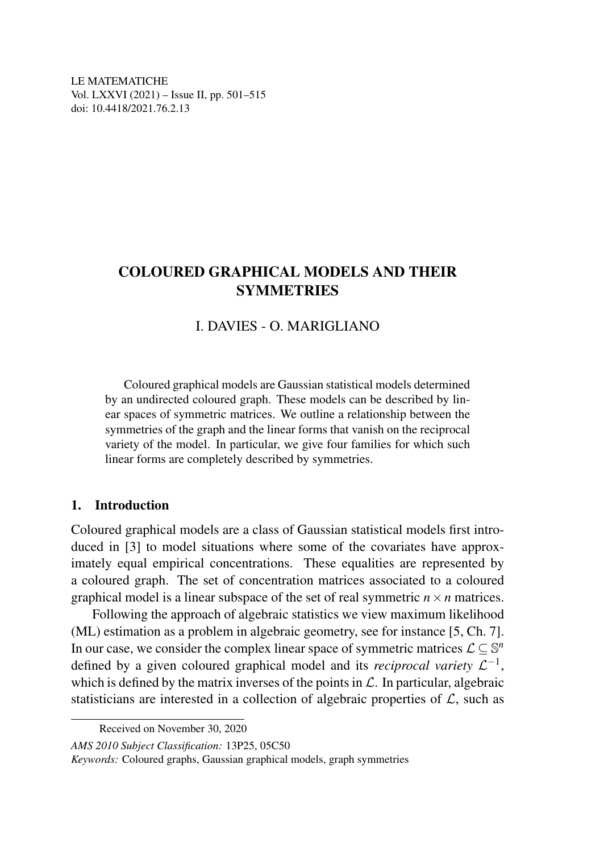LE MATEMATICHE Vol. LXXVI (2021) – Issue II, pp. 501–515 doi: 10.4418/2021.76.2.13

# COLOURED GRAPHICAL MODELS AND THEIR **SYMMETRIES**

## I. DAVIES - O. MARIGLIANO

Coloured graphical models are Gaussian statistical models determined by an undirected coloured graph. These models can be described by linear spaces of symmetric matrices. We outline a relationship between the symmetries of the graph and the linear forms that vanish on the reciprocal variety of the model. In particular, we give four families for which such linear forms are completely described by symmetries.

### 1. Introduction

Coloured graphical models are a class of Gaussian statistical models first introduced in [3] to model situations where some of the covariates have approximately equal empirical concentrations. These equalities are represented by a coloured graph. The set of concentration matrices associated to a coloured graphical model is a linear subspace of the set of real symmetric  $n \times n$  matrices.

Following the approach of algebraic statistics we view maximum likelihood (ML) estimation as a problem in algebraic geometry, see for instance [5, Ch. 7]. In our case, we consider the complex linear space of symmetric matrices  $\mathcal{L} \subseteq \mathbb{S}^n$ defined by a given coloured graphical model and its *reciprocal variety*  $\mathcal{L}^{-1}$ , which is defined by the matrix inverses of the points in  $\mathcal{L}$ . In particular, algebraic statisticians are interested in a collection of algebraic properties of  $\mathcal{L}$ , such as

*Keywords:* Coloured graphs, Gaussian graphical models, graph symmetries

Received on November 30, 2020

*AMS 2010 Subject Classification:* 13P25, 05C50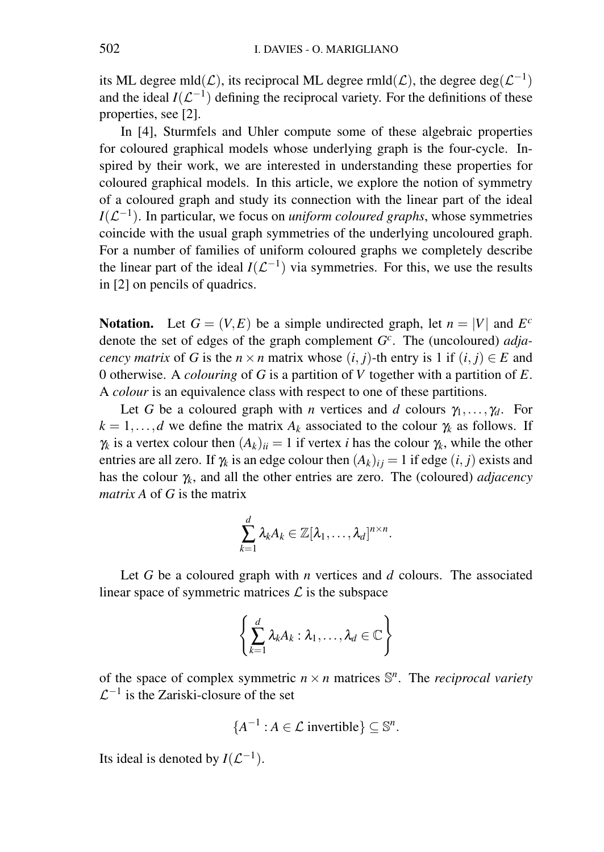its ML degree mld $(\mathcal{L})$ , its reciprocal ML degree rmld $(\mathcal{L})$ , the degree deg $(\mathcal{L}^{-1})$ and the ideal  $I(\mathcal{L}^{-1})$  defining the reciprocal variety. For the definitions of these properties, see [2].

In [4], Sturmfels and Uhler compute some of these algebraic properties for coloured graphical models whose underlying graph is the four-cycle. Inspired by their work, we are interested in understanding these properties for coloured graphical models. In this article, we explore the notion of symmetry of a coloured graph and study its connection with the linear part of the ideal  $I(\mathcal{L}^{-1})$ . In particular, we focus on *uniform coloured graphs*, whose symmetries coincide with the usual graph symmetries of the underlying uncoloured graph. For a number of families of uniform coloured graphs we completely describe the linear part of the ideal  $I(\mathcal{L}^{-1})$  via symmetries. For this, we use the results in [2] on pencils of quadrics.

**Notation.** Let  $G = (V, E)$  be a simple undirected graph, let  $n = |V|$  and  $E^c$ denote the set of edges of the graph complement *G c* . The (uncoloured) *adjacency matrix* of *G* is the  $n \times n$  matrix whose  $(i, j)$ -th entry is 1 if  $(i, j) \in E$  and 0 otherwise. A *colouring* of *G* is a partition of *V* together with a partition of *E*. A *colour* is an equivalence class with respect to one of these partitions.

Let *G* be a coloured graph with *n* vertices and *d* colours  $\gamma_1, \ldots, \gamma_d$ . For  $k = 1, \ldots, d$  we define the matrix  $A_k$  associated to the colour  $\gamma_k$  as follows. If  $\gamma_k$  is a vertex colour then  $(A_k)_{ii} = 1$  if vertex *i* has the colour  $\gamma_k$ , while the other entries are all zero. If  $\gamma_k$  is an edge colour then  $(A_k)_{ii} = 1$  if edge  $(i, j)$  exists and has the colour γ*k*, and all the other entries are zero. The (coloured) *adjacency matrix A* of *G* is the matrix

$$
\sum_{k=1}^d \lambda_k A_k \in \mathbb{Z}[\lambda_1,\ldots,\lambda_d]^{n \times n}.
$$

Let *G* be a coloured graph with *n* vertices and *d* colours. The associated linear space of symmetric matrices  $\mathcal L$  is the subspace

$$
\left\{\sum_{k=1}^d \lambda_k A_k : \lambda_1,\ldots,\lambda_d \in \mathbb{C}\right\}
$$

of the space of complex symmetric  $n \times n$  matrices  $\mathbb{S}^n$ . The *reciprocal variety*  $\mathcal{L}^{-1}$  is the Zariski-closure of the set

$$
\{A^{-1} : A \in \mathcal{L} \text{ invertible}\} \subseteq \mathbb{S}^n.
$$

Its ideal is denoted by  $I(\mathcal{L}^{-1})$ .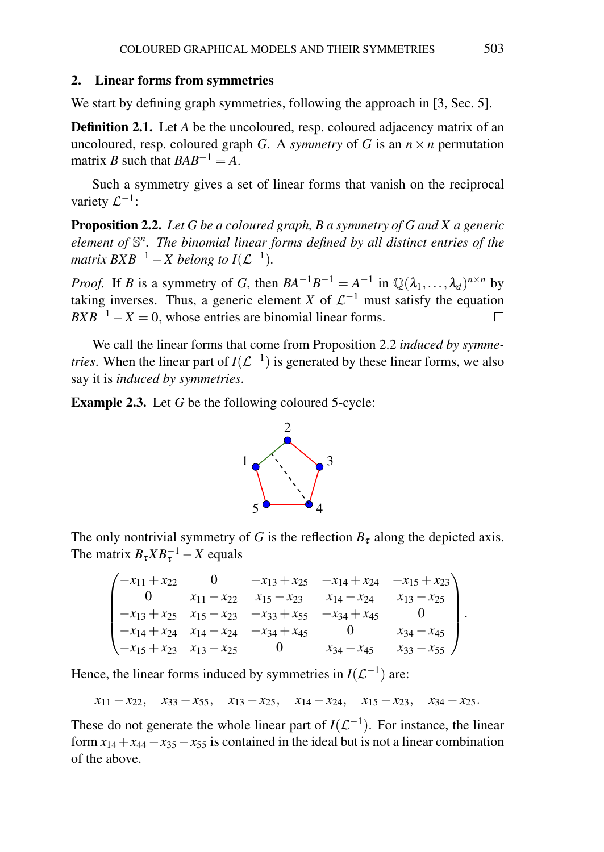#### 2. Linear forms from symmetries

We start by defining graph symmetries, following the approach in [3, Sec. 5].

**Definition 2.1.** Let *A* be the uncoloured, resp. coloured adjacency matrix of an uncoloured, resp. coloured graph *G*. A *symmetry* of *G* is an  $n \times n$  permutation matrix *B* such that  $BAB^{-1}=A$ .

Such a symmetry gives a set of linear forms that vanish on the reciprocal variety  $\mathcal{L}^{-1}$ :

Proposition 2.2. *Let G be a coloured graph, B a symmetry of G and X a generic element of* S *n . The binomial linear forms defined by all distinct entries of the matrix*  $BXB^{-1} - X$  belong to  $I(\mathcal{L}^{-1})$ .

*Proof.* If *B* is a symmetry of *G*, then  $BA^{-1}B^{-1} = A^{-1}$  in  $\mathbb{Q}(\lambda_1, \ldots, \lambda_d)^{n \times n}$  by taking inverses. Thus, a generic element *X* of  $\mathcal{L}^{-1}$  must satisfy the equation  $BXB^{-1} - X = 0$ , whose entries are binomial linear forms.  $\Box$ 

We call the linear forms that come from Proposition 2.2 *induced by symmetries*. When the linear part of  $I(\mathcal{L}^{-1})$  is generated by these linear forms, we also say it is *induced by symmetries*.

Example 2.3. Let *G* be the following coloured 5-cycle:



The only nontrivial symmetry of *G* is the reflection  $B<sub>\tau</sub>$  along the depicted axis. The matrix  $B_{\tau}XB_{\tau}^{-1} - X$  equals

| $-x_{11} + x_{22}$                   |                                                         | $-x_{13} + x_{25}$ $-x_{14} + x_{24}$ $-x_{15} + x_{23}$ |                   |  |
|--------------------------------------|---------------------------------------------------------|----------------------------------------------------------|-------------------|--|
|                                      | $x_{11} - x_{22}$ $x_{15} - x_{23}$                     | $x_{14} - x_{24}$                                        | $x_{13} - x_{25}$ |  |
|                                      | $-x_{13} + x_{25}$ $x_{15} - x_{23}$ $-x_{33} + x_{55}$ | $-x_{34}+x_{45}$                                         |                   |  |
|                                      | $-x_{14} + x_{24}$ $x_{14} - x_{24}$ $-x_{34} + x_{45}$ |                                                          | $x_{34} - x_{45}$ |  |
| $-x_{15} + x_{23}$ $x_{13} - x_{25}$ |                                                         | $x_{34} - x_{45}$                                        | $x_{33} - x_{55}$ |  |

Hence, the linear forms induced by symmetries in  $I(\mathcal{L}^{-1})$  are:

 $x_{11} - x_{22}$ ,  $x_{33} - x_{55}$ ,  $x_{13} - x_{25}$ ,  $x_{14} - x_{24}$ ,  $x_{15} - x_{23}$ ,  $x_{34} - x_{25}$ .

These do not generate the whole linear part of  $I(\mathcal{L}^{-1})$ . For instance, the linear form  $x_{14} + x_{44} - x_{35} - x_{55}$  is contained in the ideal but is not a linear combination of the above.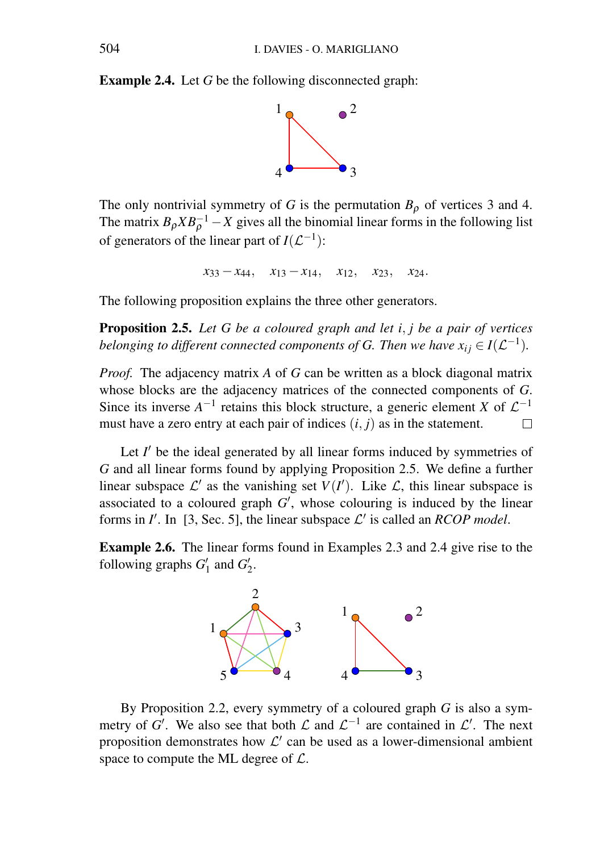Example 2.4. Let *G* be the following disconnected graph:



The only nontrivial symmetry of *G* is the permutation  $B_{\rho}$  of vertices 3 and 4. The matrix  $B_{\rho} X B_{\rho}^{-1} - X$  gives all the binomial linear forms in the following list of generators of the linear part of  $I(\mathcal{L}^{-1})$ :

$$
x_{33}-x_{44}, x_{13}-x_{14}, x_{12}, x_{23}, x_{24}.
$$

The following proposition explains the three other generators.

Proposition 2.5. *Let G be a coloured graph and let i*, *j be a pair of vertices belonging to different connected components of G. Then we have*  $x_{ij} \in I(\mathcal{L}^{-1})$ *.* 

*Proof.* The adjacency matrix *A* of *G* can be written as a block diagonal matrix whose blocks are the adjacency matrices of the connected components of *G*. Since its inverse  $A^{-1}$  retains this block structure, a generic element *X* of  $\mathcal{L}^{-1}$ must have a zero entry at each pair of indices (*i*, *j*) as in the statement.  $\Box$ 

Let  $I'$  be the ideal generated by all linear forms induced by symmetries of *G* and all linear forms found by applying Proposition 2.5. We define a further linear subspace  $\mathcal{L}'$  as the vanishing set  $V(I')$ . Like  $\mathcal{L}$ , this linear subspace is associated to a coloured graph  $G'$ , whose colouring is induced by the linear forms in  $I'$ . In [3, Sec. 5], the linear subspace  $\mathcal{L}'$  is called an *RCOP model*.

Example 2.6. The linear forms found in Examples 2.3 and 2.4 give rise to the following graphs  $G'_1$  and  $G'_2$ .



By Proposition 2.2, every symmetry of a coloured graph *G* is also a symmetry of *G'*. We also see that both  $\mathcal L$  and  $\mathcal L^{-1}$  are contained in  $\mathcal L'$ . The next proposition demonstrates how  $\mathcal{L}'$  can be used as a lower-dimensional ambient space to compute the ML degree of  $\mathcal{L}$ .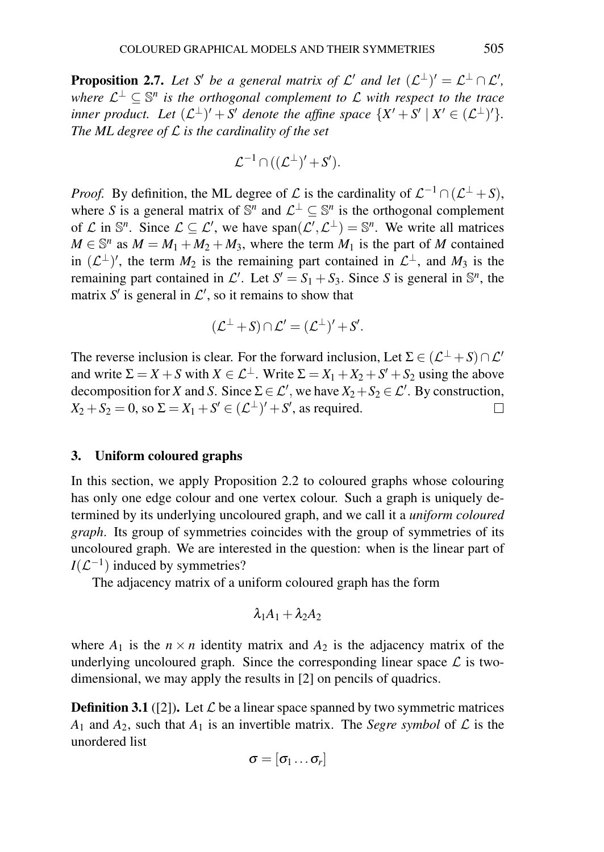**Proposition 2.7.** Let S' be a general matrix of  $\mathcal{L}'$  and let  $(\mathcal{L}^{\perp})' = \mathcal{L}^{\perp} \cap \mathcal{L}'$ ,  $\mathcal{L}$ <sup>*u*</sup>  $\leq$   $\mathbb{S}^n$  is the orthogonal complement to  $\mathcal L$  with respect to the trace *inner product.* Let  $(L^{\perp})' + S'$  denote the affine space  $\{X' + S' \mid X' \in (L^{\perp})'\}$ . *The ML degree of* L *is the cardinality of the set*

$$
\mathcal{L}^{-1} \cap ((\mathcal{L}^{\perp})' + S').
$$

*Proof.* By definition, the ML degree of  $\mathcal L$  is the cardinality of  $\mathcal L^{-1} \cap (\mathcal L^{\perp} + S)$ , where *S* is a general matrix of  $\mathbb{S}^n$  and  $\mathcal{L}^{\perp} \subseteq \mathbb{S}^n$  is the orthogonal complement of  $\mathcal L$  in  $\mathbb S^n$ . Since  $\mathcal L \subseteq \mathcal L'$ , we have  $\text{span}(\mathcal L', \mathcal L^\perp) = \mathbb S^n$ . We write all matrices  $M \in \mathbb{S}^n$  as  $M = M_1 + M_2 + M_3$ , where the term  $M_1$  is the part of *M* contained in  $(L^{\perp})'$ , the term  $M_2$  is the remaining part contained in  $L^{\perp}$ , and  $M_3$  is the remaining part contained in  $\mathcal{L}'$ . Let  $S' = S_1 + S_3$ . Since *S* is general in  $\mathbb{S}^n$ , the matrix  $S'$  is general in  $\mathcal{L}'$ , so it remains to show that

$$
(\mathcal{L}^{\perp} + S) \cap \mathcal{L}' = (\mathcal{L}^{\perp})' + S'.
$$

The reverse inclusion is clear. For the forward inclusion, Let  $\Sigma \in (\mathcal{L}^{\perp} + S) \cap \mathcal{L}'$ and write  $\Sigma = X + S$  with  $X \in \mathcal{L}^{\perp}$ . Write  $\Sigma = X_1 + X_2 + S' + S_2$  using the above decomposition for *X* and *S*. Since  $\Sigma \in \mathcal{L}'$ , we have  $X_2 + S_2 \in \mathcal{L}'$ . By construction,  $X_2 + S_2 = 0$ , so  $\Sigma = X_1 + S' \in (L^{\perp})' + S'$ , as required.  $\Box$ 

#### 3. Uniform coloured graphs

In this section, we apply Proposition 2.2 to coloured graphs whose colouring has only one edge colour and one vertex colour. Such a graph is uniquely determined by its underlying uncoloured graph, and we call it a *uniform coloured graph*. Its group of symmetries coincides with the group of symmetries of its uncoloured graph. We are interested in the question: when is the linear part of  $I(\mathcal{L}^{-1})$  induced by symmetries?

The adjacency matrix of a uniform coloured graph has the form

$$
\lambda_1 A_1 + \lambda_2 A_2
$$

where  $A_1$  is the  $n \times n$  identity matrix and  $A_2$  is the adjacency matrix of the underlying uncoloured graph. Since the corresponding linear space  $\mathcal L$  is twodimensional, we may apply the results in [2] on pencils of quadrics.

**Definition 3.1** ([2]). Let  $\mathcal{L}$  be a linear space spanned by two symmetric matrices  $A_1$  and  $A_2$ , such that  $A_1$  is an invertible matrix. The *Segre symbol* of  $\mathcal L$  is the unordered list

$$
\sigma = [\sigma_1 \ldots \sigma_r]
$$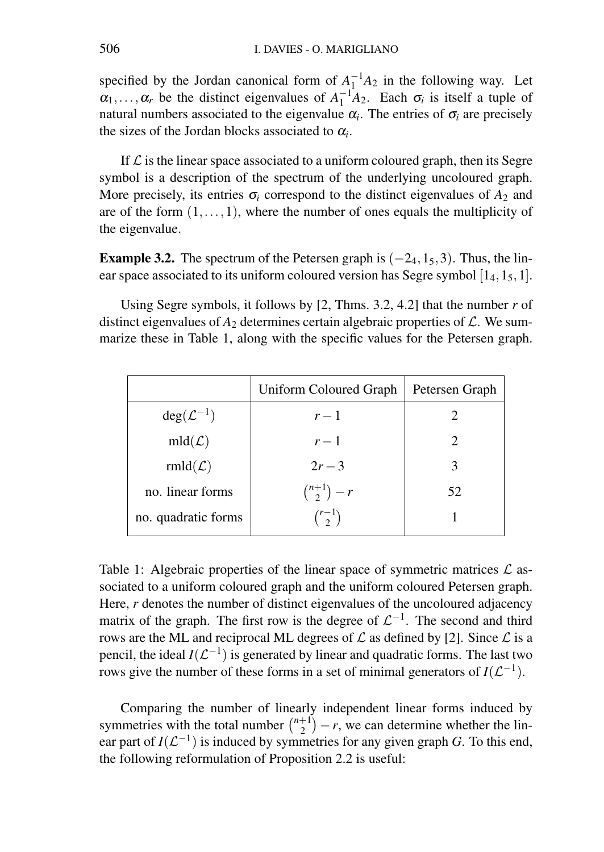specified by the Jordan canonical form of  $A_1^{-1}A_2$  in the following way. Let  $\alpha_1, \ldots, \alpha_r$  be the distinct eigenvalues of  $A_1^{-1}A_2$ . Each  $\sigma_i$  is itself a tuple of natural numbers associated to the eigenvalue  $\alpha_i$ . The entries of  $\sigma_i$  are precisely the sizes of the Jordan blocks associated to  $\alpha_i$ .

If  $\mathcal L$  is the linear space associated to a uniform coloured graph, then its Segre symbol is a description of the spectrum of the underlying uncoloured graph. More precisely, its entries  $\sigma_i$  correspond to the distinct eigenvalues of  $A_2$  and are of the form  $(1, \ldots, 1)$ , where the number of ones equals the multiplicity of the eigenvalue.

**Example 3.2.** The spectrum of the Petersen graph is  $(-2<sub>4</sub>, 1<sub>5</sub>, 3)$ . Thus, the linear space associated to its uniform coloured version has Segre symbol  $[1<sub>4</sub>, 1<sub>5</sub>, 1]$ .

Using Segre symbols, it follows by [2, Thms. 3.2, 4.2] that the number *r* of distinct eigenvalues of  $A_2$  determines certain algebraic properties of  $\mathcal{L}$ . We summarize these in Table 1, along with the specific values for the Petersen graph.

|                         | Uniform Coloured Graph | Petersen Graph |
|-------------------------|------------------------|----------------|
| $deg(\mathcal{L}^{-1})$ | $r-1$                  |                |
| $mld(\mathcal{L})$      | $r-1$                  |                |
| $rmld(\mathcal{L})$     | $2r - 3$               | 3              |
| no. linear forms        | $\binom{n+1}{2} - r$   | 52             |
| no. quadratic forms     | $\binom{r-1}{2}$       |                |

Table 1: Algebraic properties of the linear space of symmetric matrices  $\mathcal L$  associated to a uniform coloured graph and the uniform coloured Petersen graph. Here, *r* denotes the number of distinct eigenvalues of the uncoloured adjacency matrix of the graph. The first row is the degree of  $\mathcal{L}^{-1}$ . The second and third rows are the ML and reciprocal ML degrees of  $\mathcal L$  as defined by [2]. Since  $\mathcal L$  is a pencil, the ideal  $I(\mathcal{L}^{-1})$  is generated by linear and quadratic forms. The last two rows give the number of these forms in a set of minimal generators of  $I(\mathcal{L}^{-1})$ .

Comparing the number of linearly independent linear forms induced by symmetries with the total number  $\binom{n+1}{2}$  $\binom{+1}{2} - r$ , we can determine whether the linear part of  $I(\mathcal{L}^{-1})$  is induced by symmetries for any given graph *G*. To this end, the following reformulation of Proposition 2.2 is useful: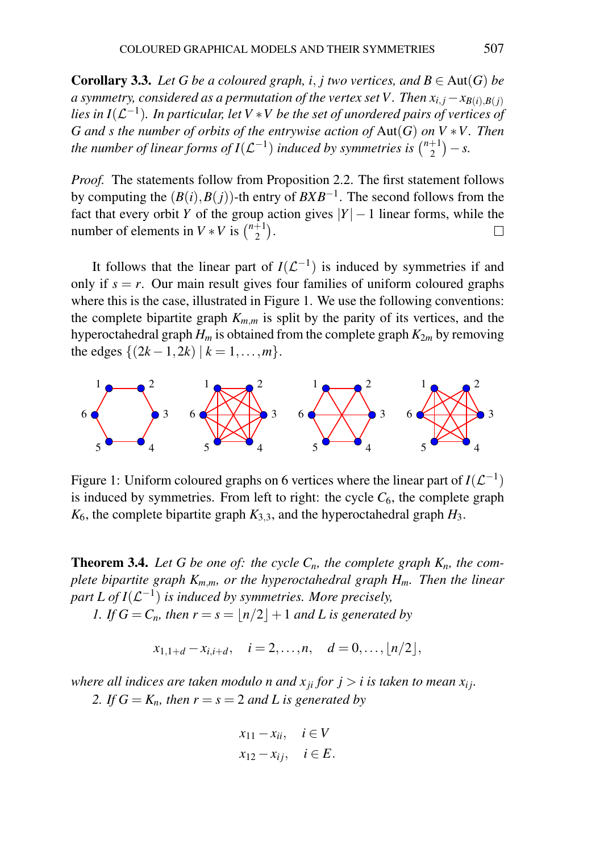**Corollary 3.3.** Let G be a coloured graph, i, *j* two vertices, and  $B \in Aut(G)$  be *a* symmetry, considered as a permutation of the vertex set V. Then  $x_i$ ,  $j - x_{B(i) - B(j)}$ lies in I $({\mathcal L}^{-1})$ . In particular, let V  $*$  V be the set of unordered pairs of vertices of *G and s the number of orbits of the entrywise action of* Aut(*G*) *on V* ∗*V . Then* the number of linear forms of I $(\mathcal{L}^{-1})$  induced by symmetries is  $\binom{n+1}{2}$  $\binom{+1}{2} - s.$ 

*Proof.* The statements follow from Proposition 2.2. The first statement follows by computing the (*B*(*i*),*B*(*j*))-th entry of *BXB*−<sup>1</sup> . The second follows from the fact that every orbit *Y* of the group action gives  $|Y| - 1$  linear forms, while the number of elements in  $V * V$  is  $\binom{n+1}{2}$  $_{2}^{+1}$ ).  $\Box$ 

It follows that the linear part of  $I(\mathcal{L}^{-1})$  is induced by symmetries if and only if  $s = r$ . Our main result gives four families of uniform coloured graphs where this is the case, illustrated in Figure 1. We use the following conventions: the complete bipartite graph  $K_{m,m}$  is split by the parity of its vertices, and the hyperoctahedral graph  $H_m$  is obtained from the complete graph  $K_{2m}$  by removing the edges  $\{(2k-1, 2k) | k = 1, ..., m\}.$ 



Figure 1: Uniform coloured graphs on 6 vertices where the linear part of  $I(\mathcal{L}^{-1})$ is induced by symmetries. From left to right: the cycle  $C_6$ , the complete graph  $K_6$ , the complete bipartite graph  $K_{3,3}$ , and the hyperoctahedral graph  $H_3$ .

**Theorem 3.4.** Let G be one of: the cycle  $C_n$ , the complete graph  $K_n$ , the com*plete bipartite graph Km*,*m, or the hyperoctahedral graph Hm. Then the linear* part L of  $I(\mathcal{L}^{-1})$  is induced by symmetries. More precisely,

*1. If*  $G = C_n$ *, then*  $r = s = \frac{n}{2} + 1$  *and L is generated by* 

$$
x_{1,1+d} - x_{i,i+d}, \quad i = 2,\ldots,n, \quad d = 0,\ldots, \lfloor n/2 \rfloor,
$$

*where all indices are taken modulo n and*  $x_{ii}$  *for*  $j > i$  *is taken to mean*  $x_{ij}$ *.* 

2. If  $G = K_n$ , then  $r = s = 2$  and L is generated by

$$
x_{11} - x_{ii}, \quad i \in V
$$
  

$$
x_{12} - x_{ij}, \quad i \in E.
$$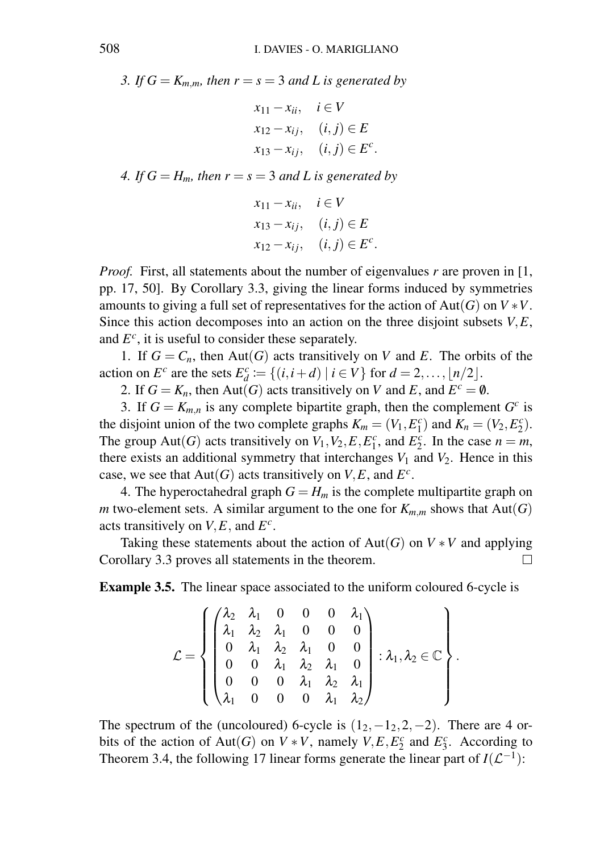*3. If*  $G = K_{m,m}$ *, then*  $r = s = 3$  *and L is generated by* 

$$
x_{11} - x_{ii}, \quad i \in V
$$
  
\n
$$
x_{12} - x_{ij}, \quad (i, j) \in E
$$
  
\n
$$
x_{13} - x_{ij}, \quad (i, j) \in E^c.
$$

*4. If*  $G = H_m$ *, then*  $r = s = 3$  *and L is generated by* 

$$
x_{11} - x_{ii}, \quad i \in V
$$
  
\n
$$
x_{13} - x_{ij}, \quad (i, j) \in E
$$
  
\n
$$
x_{12} - x_{ij}, \quad (i, j) \in E^c.
$$

*Proof.* First, all statements about the number of eigenvalues *r* are proven in [1, pp. 17, 50]. By Corollary 3.3, giving the linear forms induced by symmetries amounts to giving a full set of representatives for the action of Aut(*G*) on  $V * V$ . Since this action decomposes into an action on the three disjoint subsets *V*,*E*, and  $E^c$ , it is useful to consider these separately.

1. If  $G = C_n$ , then Aut(*G*) acts transitively on *V* and *E*. The orbits of the action on  $E^c$  are the sets  $E_d^c := \{(i, i+d) | i \in V\}$  for  $d = 2, ..., \lfloor n/2 \rfloor$ .

2. If  $G = K_n$ , then Aut(*G*) acts transitively on *V* and *E*, and  $E^c = \emptyset$ .

3. If  $G = K_{m,n}$  is any complete bipartite graph, then the complement  $G^c$  is the disjoint union of the two complete graphs  $K_m = (V_1, E_1^c)$  and  $K_n = (V_2, E_2^c)$ . The group Aut(*G*) acts transitively on  $V_1$ ,  $V_2$ ,  $E$ ,  $E_1^c$ , and  $E_2^c$ . In the case  $n = m$ , there exists an additional symmetry that interchanges  $V_1$  and  $V_2$ . Hence in this case, we see that  $Aut(G)$  acts transitively on *V*, *E*, and  $E^c$ .

4. The hyperoctahedral graph  $G = H_m$  is the complete multipartite graph on *m* two-element sets. A similar argument to the one for  $K_{m,m}$  shows that  $Aut(G)$ acts transitively on *V*,*E*, and *E c* .

Taking these statements about the action of  $Aut(G)$  on  $V * V$  and applying Corollary 3.3 proves all statements in the theorem.  $\Box$ 

Example 3.5. The linear space associated to the uniform coloured 6-cycle is

$$
\mathcal{L} = \left\{\begin{pmatrix} \lambda_2 & \lambda_1 & 0 & 0 & 0 & \lambda_1 \\ \lambda_1 & \lambda_2 & \lambda_1 & 0 & 0 & 0 \\ 0 & \lambda_1 & \lambda_2 & \lambda_1 & 0 & 0 \\ 0 & 0 & \lambda_1 & \lambda_2 & \lambda_1 & 0 \\ 0 & 0 & 0 & \lambda_1 & \lambda_2 & \lambda_1 \\ \lambda_1 & 0 & 0 & 0 & \lambda_1 & \lambda_2 \end{pmatrix} : \lambda_1, \lambda_2 \in \mathbb{C} \right\}.
$$

The spectrum of the (uncoloured) 6-cycle is  $(1_2, -1_2, 2, -2)$ . There are 4 orbits of the action of Aut(*G*) on  $V * V$ , namely  $V, E, E_2^c$  and  $E_3^c$ . According to Theorem 3.4, the following 17 linear forms generate the linear part of  $I(\mathcal{L}^{-1})$ :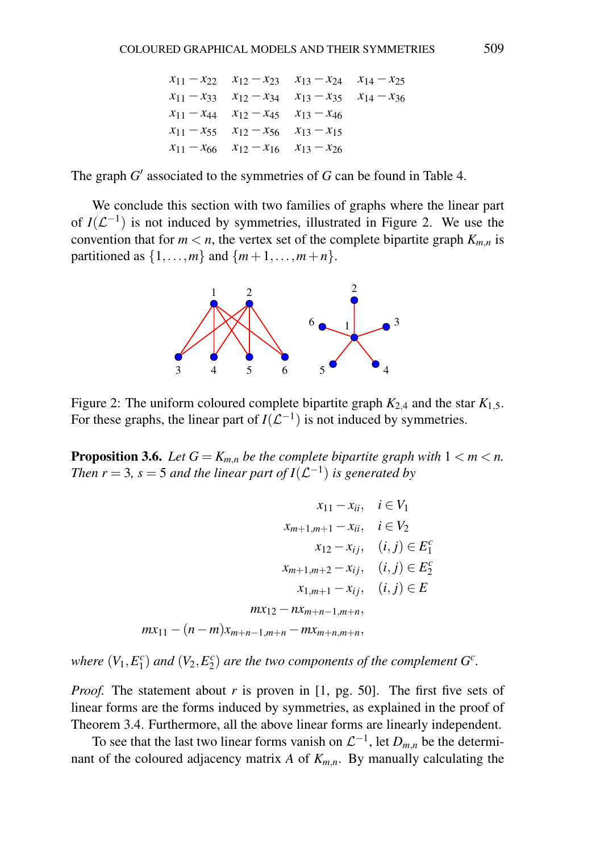$$
x_{11} - x_{22} \t x_{12} - x_{23} \t x_{13} - x_{24} \t x_{14} - x_{25}
$$
  
\n
$$
x_{11} - x_{33} \t x_{12} - x_{34} \t x_{13} - x_{35} \t x_{14} - x_{36}
$$
  
\n
$$
x_{11} - x_{44} \t x_{12} - x_{45} \t x_{13} - x_{46}
$$
  
\n
$$
x_{11} - x_{55} \t x_{12} - x_{56} \t x_{13} - x_{15}
$$
  
\n
$$
x_{11} - x_{66} \t x_{12} - x_{16} \t x_{13} - x_{26}
$$

The graph  $G'$  associated to the symmetries of  $G$  can be found in Table 4.

We conclude this section with two families of graphs where the linear part of  $I(\mathcal{L}^{-1})$  is not induced by symmetries, illustrated in Figure 2. We use the convention that for  $m < n$ , the vertex set of the complete bipartite graph  $K_{m,n}$  is partitioned as  $\{1,\ldots,m\}$  and  $\{m+1,\ldots,m+n\}$ .



Figure 2: The uniform coloured complete bipartite graph  $K_{2,4}$  and the star  $K_{1,5}$ . For these graphs, the linear part of  $I(\mathcal{L}^{-1})$  is not induced by symmetries.

**Proposition 3.6.** *Let*  $G = K_{m,n}$  *be the complete bipartite graph with*  $1 \lt m \lt n$ . *Then r* = 3, *s* = 5 *and the linear part of*  $I(\mathcal{L}^{-1})$  *is generated by* 

$$
x_{11} - x_{ii}, \quad i \in V_1
$$
  
\n
$$
x_{m+1,m+1} - x_{ii}, \quad i \in V_2
$$
  
\n
$$
x_{12} - x_{ij}, \quad (i, j) \in E_1^c
$$
  
\n
$$
x_{m+1,m+2} - x_{ij}, \quad (i, j) \in E_2^c
$$
  
\n
$$
x_{1,m+1} - x_{ij}, \quad (i, j) \in E
$$
  
\n
$$
mx_{12} - nx_{m+n-1,m+n},
$$
  
\n
$$
mx_{11} - (n-m)x_{m+n-1,m+n} - mx_{m+n,m+n},
$$

*where*  $(V_1, E_1^c)$  *and*  $(V_2, E_2^c)$  *are the two components of the complement*  $G^c$ *.* 

*Proof.* The statement about *r* is proven in [1, pg. 50]. The first five sets of linear forms are the forms induced by symmetries, as explained in the proof of Theorem 3.4. Furthermore, all the above linear forms are linearly independent.

To see that the last two linear forms vanish on  $\mathcal{L}^{-1}$ , let  $D_{m,n}$  be the determinant of the coloured adjacency matrix *A* of  $K_{m,n}$ . By manually calculating the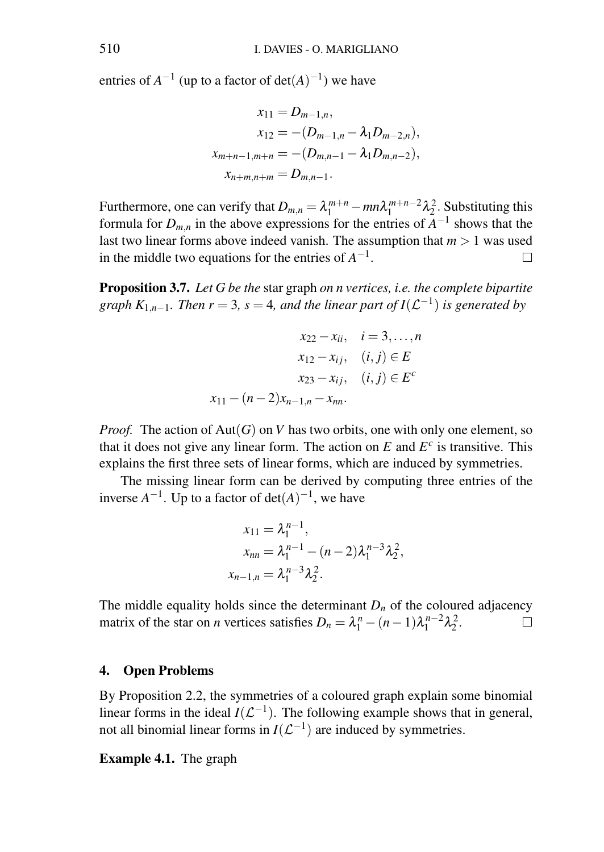entries of  $A^{-1}$  (up to a factor of  $det(A)^{-1}$ ) we have

$$
x_{11} = D_{m-1,n},
$$
  
\n
$$
x_{12} = -(D_{m-1,n} - \lambda_1 D_{m-2,n}),
$$
  
\n
$$
x_{m+n-1,m+n} = -(D_{m,n-1} - \lambda_1 D_{m,n-2}),
$$
  
\n
$$
x_{n+m,n+m} = D_{m,n-1}.
$$

Furthermore, one can verify that  $D_{m,n} = \lambda_1^{m+n} - mn\lambda_1^{m+n-2}\lambda_2^2$ . Substituting this formula for  $D_{m,n}$  in the above expressions for the entries of  $A^{-1}$  shows that the last two linear forms above indeed vanish. The assumption that  $m > 1$  was used in the middle two equations for the entries of  $A^{-1}$ .  $\Box$ 

Proposition 3.7. *Let G be the* star graph *on n vertices, i.e. the complete bipartite graph*  $K_{1,n-1}$ . Then  $r = 3$ ,  $s = 4$ , and the linear part of  $I(\mathcal{L}^{-1})$  is generated by

$$
x_{22} - x_{ii}, \quad i = 3,...,n
$$

$$
x_{12} - x_{ij}, \quad (i, j) \in E
$$

$$
x_{23} - x_{ij}, \quad (i, j) \in E^c
$$

$$
x_{11} - (n-2)x_{n-1,n} - x_{nn}.
$$

*Proof.* The action of  $Aut(G)$  on *V* has two orbits, one with only one element, so that it does not give any linear form. The action on  $E$  and  $E^c$  is transitive. This explains the first three sets of linear forms, which are induced by symmetries.

The missing linear form can be derived by computing three entries of the inverse  $A^{-1}$ . Up to a factor of  $det(A)^{-1}$ , we have

$$
x_{11} = \lambda_1^{n-1},
$$
  
\n
$$
x_{nn} = \lambda_1^{n-1} - (n-2)\lambda_1^{n-3}\lambda_2^2,
$$
  
\n
$$
x_{n-1,n} = \lambda_1^{n-3}\lambda_2^2.
$$

The middle equality holds since the determinant  $D_n$  of the coloured adjacency matrix of the star on *n* vertices satisfies  $D_n = \lambda_1^n - (n-1)\lambda_1^{n-2}\lambda_2^2$ .  $\Box$ 

#### 4. Open Problems

By Proposition 2.2, the symmetries of a coloured graph explain some binomial linear forms in the ideal  $I(\mathcal{L}^{-1})$ . The following example shows that in general, not all binomial linear forms in  $I(\mathcal{L}^{-1})$  are induced by symmetries.

Example 4.1. The graph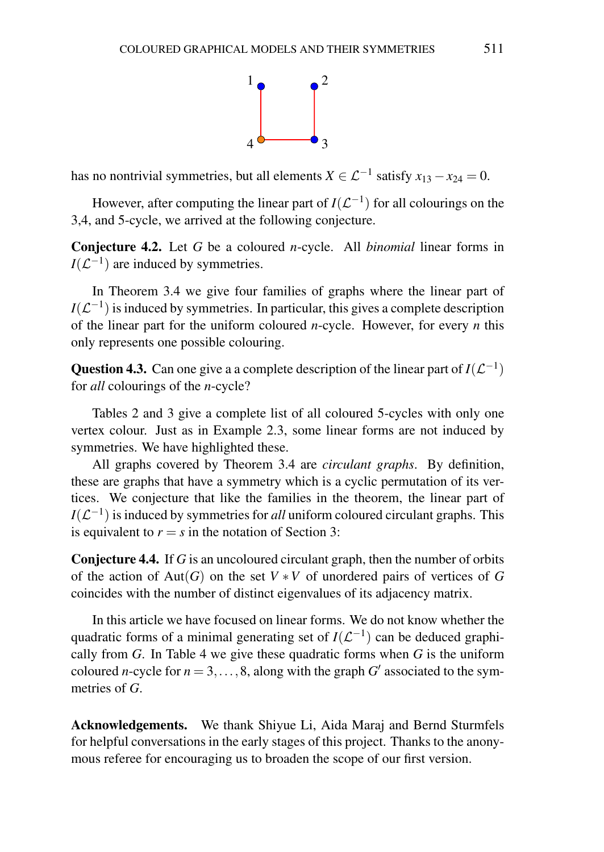

has no nontrivial symmetries, but all elements  $X \in \mathcal{L}^{-1}$  satisfy  $x_{13} - x_{24} = 0$ .

However, after computing the linear part of  $I(\mathcal{L}^{-1})$  for all colourings on the 3,4, and 5-cycle, we arrived at the following conjecture.

Conjecture 4.2. Let *G* be a coloured *n*-cycle. All *binomial* linear forms in  $I(\mathcal{L}^{-1})$  are induced by symmetries.

In Theorem 3.4 we give four families of graphs where the linear part of  $I(\mathcal{L}^{-1})$  is induced by symmetries. In particular, this gives a complete description of the linear part for the uniform coloured *n*-cycle. However, for every *n* this only represents one possible colouring.

**Question 4.3.** Can one give a a complete description of the linear part of  $I(\mathcal{L}^{-1})$ for *all* colourings of the *n*-cycle?

Tables 2 and 3 give a complete list of all coloured 5-cycles with only one vertex colour. Just as in Example 2.3, some linear forms are not induced by symmetries. We have highlighted these.

All graphs covered by Theorem 3.4 are *circulant graphs*. By definition, these are graphs that have a symmetry which is a cyclic permutation of its vertices. We conjecture that like the families in the theorem, the linear part of  $I(\mathcal{L}^{-1})$  is induced by symmetries for *all* uniform coloured circulant graphs. This is equivalent to  $r = s$  in the notation of Section 3:

Conjecture 4.4. If *G* is an uncoloured circulant graph, then the number of orbits of the action of Aut(*G*) on the set  $V * V$  of unordered pairs of vertices of *G* coincides with the number of distinct eigenvalues of its adjacency matrix.

In this article we have focused on linear forms. We do not know whether the quadratic forms of a minimal generating set of  $I(\mathcal{L}^{-1})$  can be deduced graphically from *G*. In Table 4 we give these quadratic forms when *G* is the uniform coloured *n*-cycle for  $n = 3, ..., 8$ , along with the graph *G*<sup> $\prime$ </sup> associated to the symmetries of *G*.

Acknowledgements. We thank Shiyue Li, Aida Maraj and Bernd Sturmfels for helpful conversations in the early stages of this project. Thanks to the anonymous referee for encouraging us to broaden the scope of our first version.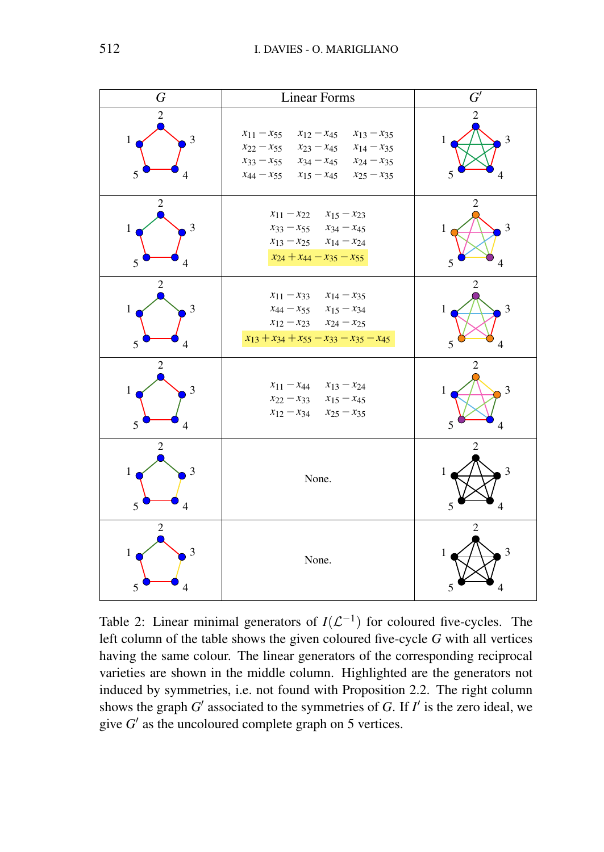| G                                               | <b>Linear Forms</b>                                                                                                                                                                                                                          | $\overline{G'}$                               |
|-------------------------------------------------|----------------------------------------------------------------------------------------------------------------------------------------------------------------------------------------------------------------------------------------------|-----------------------------------------------|
| $\sqrt{2}$<br>3<br>1<br>5<br>4                  | $x_{11} - x_{55}$<br>$x_{12} - x_{45}$ $x_{13} - x_{35}$<br>$x_{22} - x_{55}$<br>$x_{23} - x_{45}$ $x_{14} - x_{35}$<br>$x_{33} - x_{55}$<br>$x_{34} - x_{45}$ $x_{24} - x_{35}$<br>$x_{44} - x_{55}$<br>$x_{15} - x_{45}$ $x_{25} - x_{35}$ | $\overline{c}$<br>3<br>1<br>5<br>4            |
| 2<br>3<br>1<br>5<br>4                           | $x_{11} - x_{22}$ $x_{15} - x_{23}$<br>$x_{33} - x_{55}$ $x_{34} - x_{45}$<br>$x_{13} - x_{25}$ $x_{14} - x_{24}$<br>$x_{24} + x_{44} - x_{35} - x_{55}$                                                                                     | $\overline{2}$<br>3<br>$\mathbf{1}$<br>5<br>4 |
| $\overline{2}$<br>3<br>1<br>5<br>4              | $x_{11} - x_{33}$<br>$x_{14} - x_{35}$<br>$x_{44} - x_{55}$ $x_{15} - x_{34}$<br>$x_{12} - x_{23}$ $x_{24} - x_{25}$<br>$x_{13} + x_{34} + x_{55} - x_{33} - x_{35} - x_{45}$                                                                | $\overline{2}$<br>3<br>1<br>5<br>4            |
| $\overline{c}$<br>3<br>1<br>5<br>4              | $x_{11} - x_{44}$<br>$x_{13} - x_{24}$<br>$x_{22} - x_{33}$ $x_{15} - x_{45}$<br>$x_{12} - x_{34}$ $x_{25} - x_{35}$                                                                                                                         | $\mathfrak{D}$<br>3<br>1<br>5<br>4            |
| $\overline{c}$<br>$\mathfrak{Z}$<br>1<br>5<br>4 | None.                                                                                                                                                                                                                                        | 2<br>3<br>1<br>5<br>4                         |
| $\overline{c}$<br>3<br>1<br>5<br>4              | None.                                                                                                                                                                                                                                        | $\overline{c}$<br>3<br>1<br>5<br>4            |

Table 2: Linear minimal generators of  $I(\mathcal{L}^{-1})$  for coloured five-cycles. The left column of the table shows the given coloured five-cycle *G* with all vertices having the same colour. The linear generators of the corresponding reciprocal varieties are shown in the middle column. Highlighted are the generators not induced by symmetries, i.e. not found with Proposition 2.2. The right column shows the graph  $G'$  associated to the symmetries of  $G$ . If  $I'$  is the zero ideal, we give  $G'$  as the uncoloured complete graph on 5 vertices.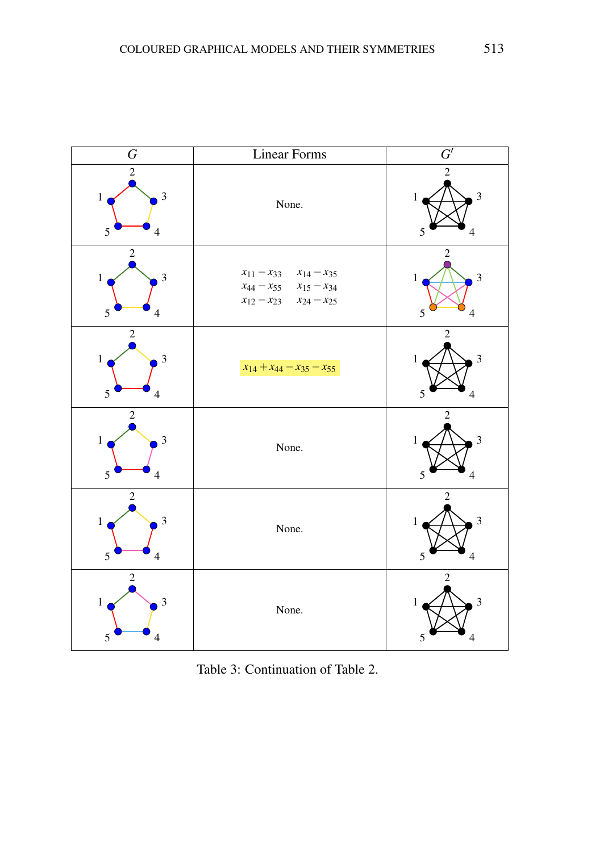

Table 3: Continuation of Table 2.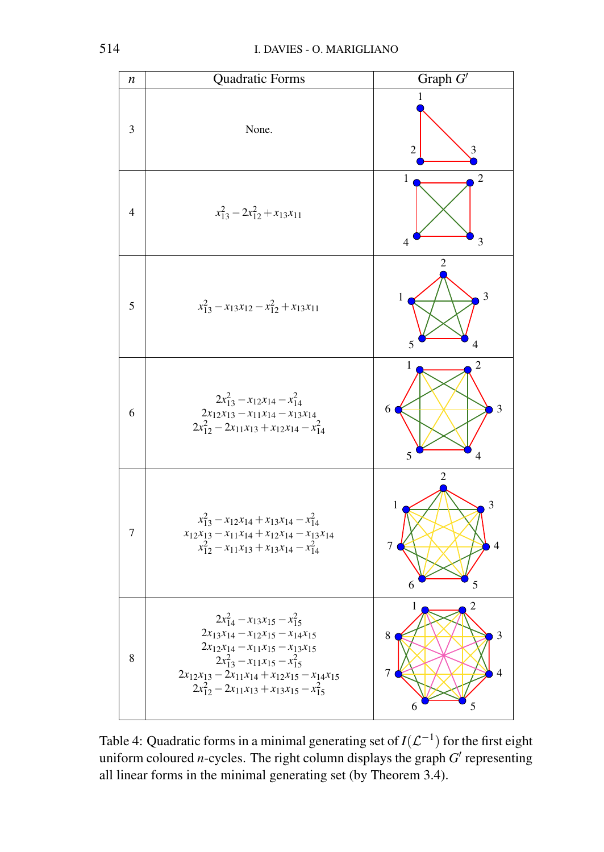

Table 4: Quadratic forms in a minimal generating set of  $I(\mathcal{L}^{-1})$  for the first eight uniform coloured *n*-cycles. The right column displays the graph  $G'$  representing all linear forms in the minimal generating set (by Theorem 3.4).